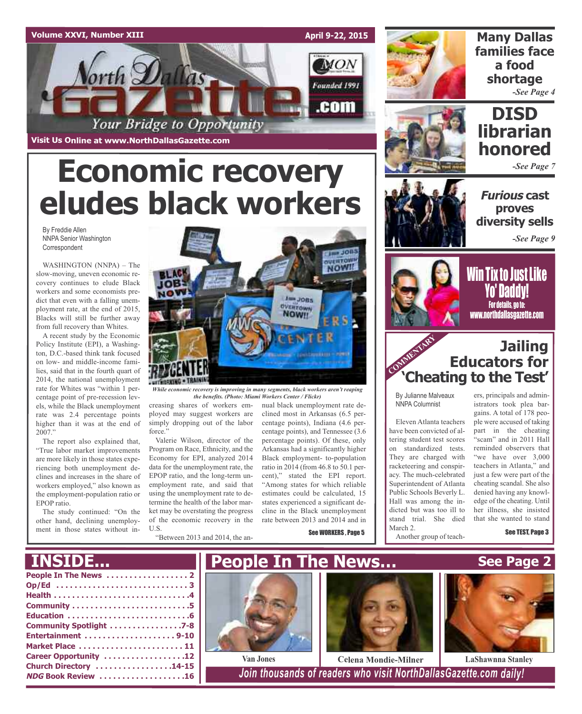

**Economic recovery**

**eludes black workers**



**Many Dallas families face a food shortage** *-See Page 4*



## **DISD librarian honored**

*-See Page 7*

**Furious cast proves diversity sells**

*-See Page 9*

By Freddie Allen NNPA Senior Washington Correspondent

WASHINGTON (NNPA) – The slow-moving, uneven economic recovery continues to elude Black workers and some economists predict that even with a falling unemployment rate, at the end of 2015, Blacks will still be further away from full recovery than Whites.

A recent study by the Economic Policy Institute (EPI), a Washington, D.C.-based think tank focused on low- and middle-income families, said that in the fourth quart of 2014, the national unemployment rate for Whites was "within 1 percentage point of pre-recession levels, while the Black unemployment rate was 2.4 percentage points higher than it was at the end of 2007."

The report also explained that, "True labor market improvements are more likely in those states experiencing both unemployment declines and increases in the share of workers employed," also known as the employment-population ratio or EPOP ratio.

The study continued: "On the other hand, declining unemployment in those states without in-



*While economic recovery is improving in many segments, black workers aren't reaping the benefits. (Photo: Miami Workers Center / Flickr)*

creasing shares of workers employed may suggest workers are simply dropping out of the labor force."

Valerie Wilson, director of the Program on Race, Ethnicity, and the Economy for EPI, analyzed 2014 data for the unemployment rate, the EPOP ratio, and the long-term unemployment rate, and said that using the unemployment rate to determine the health of the labor market may be overstating the progress of the economic recovery in the U.S.

"Between 2013 and 2014, the an-

nual black unemployment rate declined most in Arkansas (6.5 percentage points), Indiana (4.6 percentage points), and Tennessee (3.6 percentage points). Of these, only Arkansas had a significantly higher Black employment- to-population ratio in 2014 (from 46.8 to 50.1 percent)," stated the EPI report.

"Among states for which reliable estimates could be calculated, 15 states experienced a significant decline in the Black unemployment rate between 2013 and 2014 and in

See WORKERS , Page 5



**Win Tix to Just Like** Yo' Daddy! For details, go to: www.northdallasgazette.com

### COMMENTARY **COMMENT Jailing Educators for 'Cheating to the Test'**

By Julianne Malveaux NNPA Columnist

Eleven Atlanta teachers have been convicted of altering student test scores on standardized tests. They are charged with racketeering and conspiracy. The much-celebrated Superintendent of Atlanta Public Schools Beverly L. Hall was among the indicted but was too ill to stand trial. She died March 2.

Another group of teach-

ers, principals and administrators took plea bargains. A total of 178 people were accused of taking part in the cheating "scam" and in 2011 Hall reminded observers that "we have over 3,000 teachers in Atlanta," and just a few were part of the cheating scandal. She also denied having any knowledge of the cheating. Until her illness, she insisted that she wanted to stand

See TEST, Page 3

**See Page 2**

## **INSIDE...**

| Community Spotlight 7-8   |
|---------------------------|
|                           |
| Market Place  11          |
| Career Opportunity 12     |
| Church Directory 14-15    |
| <b>NDG Book Review 16</b> |
|                           |





**Van Jones Celena Mondie-Milner LaShawnna Stanley**

**NDG Book Review . . . . . . . . . . . . . . . . . . .16** *Join thousands of readers who visit NorthDallasGazette.com daily!*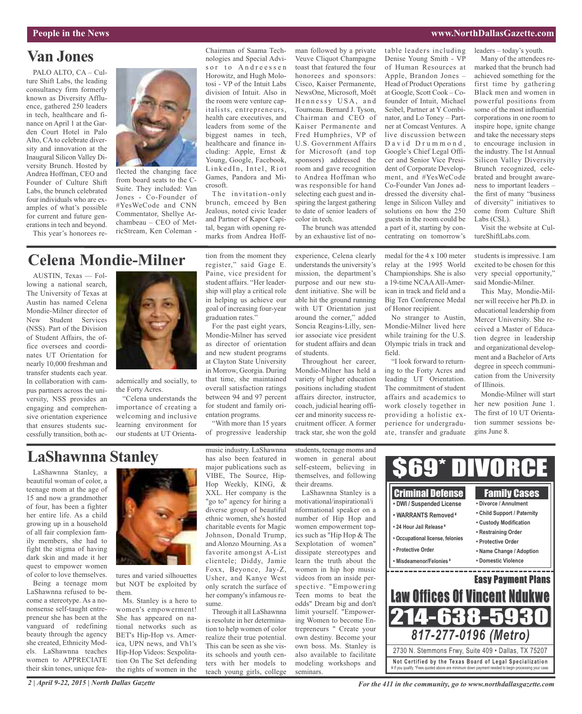#### **People in the News www.NorthDallasGazette.com**

## **Van Jones**

PALO ALTO, CA – Culture Shift Labs, the leading consultancy firm formerly known as Diversity Affluence, gathered 250 leaders in tech, healthcare and finance on April 1 at the Garden Court Hotel in Palo Alto, CA to celebrate diversity and innovation at the Inaugural Silicon Valley Diversity Brunch. Hosted by Andrea Hoffman, CEO and Founder of Culture Shift Labs, the brunch celebrated four individuals who are examples of what's possible for current and future generations in tech and beyond. This year's honorees re-



flected the changing face from board seats to the C-Suite. They included: Van Jones - Co-Founder of #YesWeCode and CNN Commentator, Shellye Archambeau – CEO of MetricStream, Ken Coleman -

Chairman of Saama Technologies and Special Advisor to Andreessen Horowitz, and Hugh Molotosi - VP of the Intuit Labs division of Intuit. Also in the room were venture capitalists, entrepreneurs, health care executives, and leaders from some of the biggest names in tech, healthcare and finance including: Apple, Ernst & Young, Google, Facebook, LinkedIn, Intel, Riot Games, Pandora and Microsoft.

The invitation-only brunch, emceed by Ben Jealous, noted civic leader and Partner of Kapor Capital, began with opening remarks from Andrea Hoff-

man followed by a private Veuve Cliquot Champagne toast that featured the four honorees and sponsors: Cisco, Kaiser Permanente, NewsOne, Microsoft, Moët Hennessy USA, and Tourneau. Bernard J. Tyson, Chairman and CEO of Kaiser Permanente and Fred Humphries, VP of U.S. Government Affairs for Microsoft (and top sponsors) addressed the room and gave recognition to Andrea Hoffman who was responsible for hand selecting each guest and inspiring the largest gathering to date of senior leaders of color in tech.

The brunch was attended by an exhaustive list of notable leaders including Denise Young Smith - VP of Human Resources at Apple, Brandon Jones – Head of Product Operations at Google, Scott Cook – Cofounder of Intuit, Michael Seibel, Partner at Y Combinator, and Lo Toney – Partner at Comcast Ventures. A live discussion between David Drummond, Google's Chief Legal Officer and Senior Vice President of Corporate Development, and #YesWeCode Co-Founder Van Jones addressed the diversity challenge in Silicon Valley and solutions on how the 250 guests in the room could be a part of it, starting by concentrating on tomorrow's

leaders – today's youth.

Many of the attendees remarked that the brunch had achieved something for the first time by gathering Black men and women in powerful positions from some of the most influential corporations in one room to inspire hope, ignite change and take the necessary steps to encourage inclusion in the industry. The 1st Annual Silicon Valley Diversity Brunch recognized, celebrated and brought awareness to important leaders – the first of many "business of diversity" initiatives to come from Culture Shift Labs (CSL).

Visit the website at CultureShiftLabs.com.

### **Celena Mondie-Milner**

AUSTIN, Texas — Following a national search, The University of Texas at Austin has named Celena Mondie-Milner director of New Student Services (NSS). Part of the Division of Student Affairs, the office oversees and coordinates UT Orientation for nearly 10,000 freshman and transfer students each year. In collaboration with campus partners across the university, NSS provides an engaging and comprehensive orientation experience that ensures students successfully transition, both ac-



ademically and socially, to the Forty Acres.

"Celena understands the importance of creating a welcoming and inclusive learning environment for our students at UT Orientation from the moment they register," said Gage E. Paine, vice president for student affairs. "Her leadership will play a critical role in helping us achieve our goal of increasing four-year graduation rates."

For the past eight years, Mondie-Milner has served as director of orientation and new student programs at Clayton State University in Morrow, Georgia. During that time, she maintained overall satisfaction ratings between 94 and 97 percent for student and family orientation programs.

"With more than 15 years of progressive leadership experience, Celena clearly understands the university's mission, the department's purpose and our new student initiative. She will be able hit the ground running with UT Orientation just around the corner," added Soncia Reagins-Lilly, senior associate vice president for student affairs and dean of students.

Throughout her career, Mondie-Milner has held a variety of higher education positions including student affairs director, instructor, coach, judicial hearing officer and minority success recruitment officer. A former track star, she won the gold

medal for the 4 x 100 meter relay at the 1995 World Championships. She is also a 19-time NCAAAll-American in track and field and a Big Ten Conference Medal of Honor recipient.

No stranger to Austin, Mondie-Milner lived here while training for the U.S. Olympic trials in track and field.

"I look forward to returning to the Forty Acres and leading UT Orientation. The commitment of student affairs and academics to work closely together in providing a holistic experience for undergraduate, transfer and graduate

students is impressive. I am excited to be chosen for this very special opportunity," said Mondie-Milner.

This May, Mondie-Milner will receive her Ph.D. in educational leadership from Mercer University. She received a Master of Education degree in leadership and organizational development and a Bachelor of Arts degree in speech communication from the University of Illinois.

Mondie-Milner will start her new position June 1. The first of 10 UT Orientation summer sessions begins June 8.

## **LaShawnna Stanley**

LaShawnna Stanley, a beautiful woman of color, a teenage mom at the age of 15 and now a grandmother of four, has been a fighter her entire life. As a child growing up in a household of all fair complexion family members, she had to fight the stigma of having dark skin and made it her quest to empower women of color to love themselves.

Being a teenage mom LaShawnna refused to become a stereotype. As a nononsense self-taught entrepreneur she has been at the vanguard of redefining beauty through the agency she created, Ethnicity Models. LaShawnna teaches women to APPRECIATE their skin tones, unique fea-

*2 | April 9-22, 2015 | North Dallas Gazette*



tures and varied silhouettes but NOT be exploited by them.

Ms. Stanley is a hero to women's empowerment! She has appeared on national networks such as BET's Hip-Hop vs. America, UPN news, and Vh1's Hip-Hop Videos: Sexpolitation On The Set defending the rights of women in the

music industry. LaShawnna has also been featured in major publications such as VIBE, The Source, Hip-Hop Weekly, KING, & XXL. Her company is the "go to" agency for hiring a diverse group of beautiful ethnic women, she's hosted charitable events for Magic Johnson, Donald Trump, and Alonzo Mourning. As a favorite amongst A-List clientele; Diddy, Jamie Foxx, Beyonce, Jay-Z, Usher, and Kanye West only scratch the surface of her company's infamous resume. Through it all LaShawnna

is resolute in her determination to help women of color realize their true potential. This can be seen as she visits schools and youth centers with her models to teach young girls, college students, teenage moms and women in general about self-esteem, believing in themselves, and following their dreams.

LaShawnna Stanley is a motivational/inspirational/i nformational speaker on a number of Hip Hop and women empowerment topics such as "Hip Hop & The Sexplotation of women" dissipate stereotypes and learn the truth about the women in hip hop music videos from an inside perspective. "Empowering Teen moms to beat the odds" Dream big and don't limit yourself. "Empowering Women to become Entrepreneurs " Create your own destiny. Become your own boss. Ms. Stanley is also available to facilitate modeling workshops and seminars.



*For the 411 in the community, go to www.northdallasgazette.com*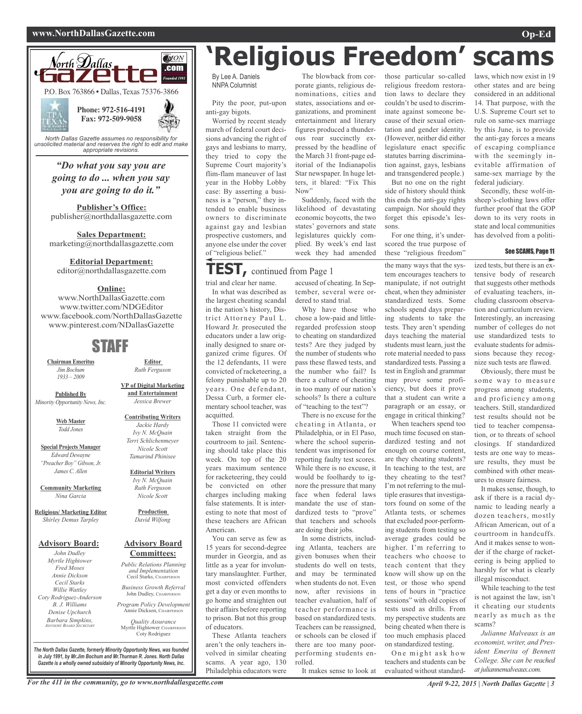#### **www.NorthDallasGazette.com Op-Ed**



*unsolicited material and reserves the right to edit and make appropriate revisions.*

### *"Do what you say you are going to do ... when you say you are going to do it."*

**Publisher's Office:** publisher@northdallasgazette.com

**Sales Department:** marketing@northdallasgazette.com

#### **Editorial Department:**

editor@northdallasgazette.com

#### **Online:**

www.NorthDallasGazette.com www.twitter.com/NDGEditor www.facebook.com/NorthDallasGazette www.pinterest.com/NDallasGazette

### STAFF

**Chairman Emeritus** *Jim Bochum 1933 – 2009*

**Published By** *Minority Opportunity News, Inc.*

> **Web Master** *Todd Jones*

**Special Projects Manager** *Edward Dewayne "Preacher Boy" Gibson, Jr. James C. Allen*

**Community Marketing** *Nina Garcia*

**Religious/ Marketing Editor** *Shirley Demus Tarpley*

#### **Advisory Board:**

*John Dudley Myrtle Hightower Fred Moses Annie Dickson Cecil Starks Willie Wattley Coty Rodriguez-Anderson B. J. Williams Denise Upchurch Barbara Simpkins, ADVISORY BOARD SECRETARY*

**VP of Digital Marketing and Entertainment** *Jessica Brewer*

**Editor** *Ruth Ferguson*

**Contributing Writers** *Jackie Hardy Ivy N. McQuain Terri Schlichenmeyer Nicole Scott Tamarind Phinisee*

#### **Editorial Writers** *Ivy N. McQuain Ruth Ferguson Nicole Scott*

**Production** *David Wilfong*

#### **Advisory Board Committees:**

*Public Relations Planning and Implementation* Cecil Starks, CHAIRPERSON

*Business Growth Referral* John Dudley, CHAIRPERSON

*Program Policy Development* Annie Dickson, CHAIRPERS

*Quality Assurance* Myrtle Hightower, CHAIRPERSON Coty Rodriguez

*The North Dallas Gazette, formerly Minority Opportunity News, was founded in July 1991, by Mr.Jim Bochum and Mr.Thurman R. Jones. North Dallas Gazette is a wholly owned subsidairy of Minority Opportunity News, Inc.*

# **'Religious Freedom' scams**

By Lee A. Daniels NNPA Columnist

Pity the poor, put-upon anti-gay bigots.

Worried by recent steady march of federal court decisions advancing the right of gays and lesbians to marry, they tried to copy the Supreme Court majority's flim-flam maneuver of last year in the Hobby Lobby case: By asserting a business is a "person," they intended to enable business owners to discriminate against gay and lesbian prospective customers, and anyone else under the cover of "religious belief."

### **TEST,** continued from Page <sup>1</sup>

trial and clear her name.

In what was described as the largest cheating scandal in the nation's history, District Attorney Paul L. Howard Jr. prosecuted the educators under a law originally designed to snare organized crime figures. Of the 12 defendants, 11 were convicted of racketeering, a felony punishable up to 20 years. One defendant, Dessa Curb, a former elementary school teacher, was acquitted.

Those 11 convicted were taken straight from the courtroom to jail. Sentencing should take place this week. On top of the 20 years maximum sentence for racketeering, they could be convicted on other charges including making false statements. It is interesting to note that most of these teachers are African American.

You can serve as few as 15 years for second-degree murder in Georgia, and as little as a year for involuntary manslaughter. Further, most convicted offenders get a day or even months to go home and straighten out their affairs before reporting to prison. But not this group of educators.

These Atlanta teachers aren't the only teachers involved in similar cheating scams. A year ago, 130 Philadelphia educators were

The blowback from corporate giants, religious denominations, cities and states, associations and organizations, and prominent entertainment and literary figures produced a thunderous roar succinctly expressed by the headline of the March 31 front-page editorial of the Indianapolis Star newspaper. In huge letters, it blared: "Fix This Now"

Suddenly, faced with the likelihood of devastating economic boycotts, the two states' governors and state legislatures quickly complied. By week's end last week they had amended

accused of cheating. In September, several were ordered to stand trial.

Why have those who chose a low-paid and littleregarded profession stoop to cheating on standardized tests? Are they judged by the number of students who pass these flawed tests, and the number who fail? Is there a culture of cheating in too many of our nation's schools? Is there a culture of "teaching to the test"?

There is no excuse for the cheating in Atlanta, or Philadelphia, or in El Paso, where the school superintendent was imprisoned for reporting faulty test scores. While there is no excuse, it would be foolhardy to ignore the pressure that many face when federal laws mandate the use of standardized tests to "prove" that teachers and schools are doing their jobs.

In some districts, including Atlanta, teachers are given bonuses when their students do well on tests, and may be terminated when students do not. Even now, after revisions in teacher evaluation, half of teacher performance is based on standardized tests. Teachers can be reassigned, or schools can be closed if there are too many poorperforming students enrolled.

It makes sense to look at

those particular so-called religious freedom restoration laws to declare they couldn't be used to discriminate against someone because of their sexual orientation and gender identity. (However, neither did either legislature enact specific statutes barring discrimination against, gays, lesbians and transgendered people.) But no one on the right

side of history should think this ends the anti-gay rights campaign. Nor should they forget this episode's lessons.

For one thing, it's underscored the true purpose of these "religious freedom"

the many ways that the system encourages teachers to manipulate, if not outright cheat, when they administer standardized tests. Some schools spend days preparing students to take the tests. They aren't spending days teaching the material students must learn, just the rote material needed to pass standardized tests. Passing a test in English and grammar may prove some proficiency, but does it prove that a student can write a paragraph or an essay, or engage in critical thinking?

When teachers spend too much time focused on standardized testing and not enough on course content, are they cheating students? In teaching to the test, are they cheating to the test? I'm not referring to the multiple erasures that investigators found on some of the Atlanta tests, or schemes that excluded poor-performing students from testing so average grades could be higher. I'm referring to teachers who choose to teach content that they know will show up on the test, or those who spend tens of hours in "practice sessions" with old copies of tests used as drills. From my perspective students are being cheated when there is too much emphasis placed on standardized testing.

One might ask how teachers and students can be evaluated without standardlaws, which now exist in 19 other states and are being considered in an additional 14. That purpose, with the U.S. Supreme Court set to rule on same-sex marriage by this June, is to provide the anti-gay forces a means of escaping compliance with the seemingly inevitable affirmation of same-sex marriage by the federal judiciary.

Secondly, these wolf-insheep's-clothing laws offer further proof that the GOP down to its very roots in state and local communities has devolved from a politi-

#### See SCAMS, Page 11

ized tests, but there is an extensive body of research that suggests other methods of evaluating teachers, including classroom observation and curriculum review. Interestingly, an increasing number of colleges do not use standardized tests to evaluate students for admissions because they recognize such tests are flawed.

Obviously, there must be some way to measure progress among students, and proficiency among teachers. Still, standardized test results should not be tied to teacher compensation, or to threats of school closings. If standardized tests are one way to measure results, they must be combined with other measures to ensure fairness.

It makes sense, though, to ask if there is a racial dynamic to leading nearly a dozen teachers, mostly African American, out of a courtroom in handcuffs. And it makes sense to wonder if the charge of racketeering is being applied to harshly for what is clearly illegal misconduct.

While teaching to the test is not against the law, isn't it cheating our students nearly as much as the scams?

*Julianne Malveaux is an economist, writer, and President Emerita of Bennett College. She can be reached at juliannemalveaux.com.*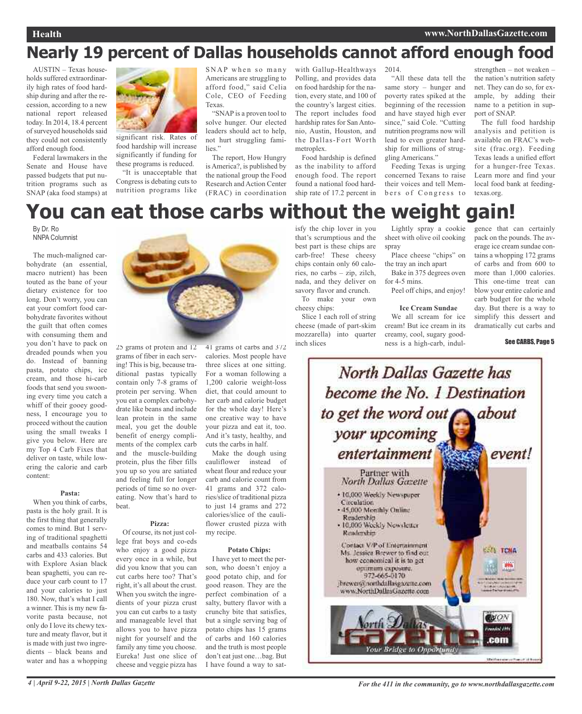#### **Health www.NorthDallasGazette.com**

## **Nearly 19 percent of Dallas households cannot afford enough food**

AUSTIN – Texas households suffered extraordinarily high rates of food hardship during and after the recession, according to a new national report released today. In 2014, 18.4 percent of surveyed households said they could not consistently afford enough food.

Federal lawmakers in the Senate and House have passed budgets that put nutrition programs such as SNAP (aka food stamps) at



significant risk. Rates of food hardship will increase significantly if funding for these programs is reduced.

"It is unacceptable that Congress is debating cuts to nutrition programs like SNAP when so many Americans are struggling to afford food," said Celia Cole, CEO of Feeding Texas.

"SNAP is a proven tool to solve hunger. Our elected leaders should act to help, not hurt struggling families."

The report, How Hungry is America?, is published by the national group the Food Research and Action Center (FRAC) in coordination with Gallup-Healthways Polling, and provides data on food hardship for the nation, every state, and 100 of the country's largest cities. The report includes food hardship rates for San Antonio, Austin, Houston, and the Dallas-Fort Worth metroplex.

Food hardship is defined as the inability to afford enough food. The report found a national food hardship rate of 17.2 percent in

2014.

"All these data tell the same story – hunger and poverty rates spiked at the beginning of the recession and have stayed high ever since," said Cole. "Cutting nutrition programs now will lead to even greater hardship for millions of struggling Americans."

Feeding Texas is urging concerned Texans to raise their voices and tell Members of Congress to

strengthen – not weaken – the nation's nutrition safety net. They can do so, for example, by adding their name to a petition in support of SNAP.

The full food hardship analysis and petition is available on FRAC's website (frac.org). Feeding Texas leads a unified effort for a hunger-free Texas. Learn more and find your local food bank at feedingtexas.org.

## **You can eat those carbs without the weight gain!**

By Dr. Ro NNPA Columnist

The much-maligned carbohydrate (an essential, macro nutrient) has been touted as the bane of your dietary existence for too long. Don't worry, you can eat your comfort food carbohydrate favorites without the guilt that often comes with consuming them and you don't have to pack on dreaded pounds when you do. Instead of banning pasta, potato chips, ice cream, and those hi-carb foods that send you swooning every time you catch a whiff of their gooey goodness, I encourage you to proceed without the caution using the small tweaks I give you below. Here are my Top 4 Carb Fixes that deliver on taste, while lowering the calorie and carb content:

#### **Pasta:**

When you think of carbs, pasta is the holy grail. It is the first thing that generally comes to mind. But 1 serving of traditional spaghetti and meatballs contains 54 carbs and 433 calories. But with Explore Asian black bean spaghetti, you can reduce your carb count to 17 and your calories to just 180. Now, that's what I call a winner. This is my new favorite pasta because, not only do I love its chewy texture and meaty flavor, but it is made with just two ingredients – black beans and water and has a whopping



25 grams of protein and 12 grams of fiber in each serving! This is big, because traditional pastas typically contain only 7-8 grams of protein per serving. When you eat a complex carbohydrate like beans and include lean protein in the same meal, you get the double benefit of energy compliments of the complex carb and the muscle-building protein, plus the fiber fills you up so you are satiated and feeling full for longer periods of time so no overeating. Now that's hard to beat.

#### **Pizza:**

Of course, its not just college frat boys and co-eds who enjoy a good pizza every once in a while, but did you know that you can cut carbs here too? That's right, it's all about the crust. When you switch the ingredients of your pizza crust you can cut carbs to a tasty and manageable level that allows you to have pizza night for yourself and the family any time you choose. Eureka! Just one slice of cheese and veggie pizza has

41 grams of carbs and 372 calories. Most people have three slices at one sitting. For a woman following a 1,200 calorie weight-loss diet, that could amount to her carb and calorie budget for the whole day! Here's one creative way to have your pizza and eat it, too. And it's tasty, healthy, and cuts the carbs in half.

Make the dough using cauliflower instead of wheat flour and reduce your carb and calorie count from 41 grams and 372 calories/slice of traditional pizza to just 14 grams and 272 calories/slice of the cauliflower crusted pizza with my recipe.

#### **Potato Chips:**

I have yet to meet the person, who doesn't enjoy a good potato chip, and for good reason. They are the perfect combination of a salty, buttery flavor with a crunchy bite that satisfies, but a single serving bag of potato chips has 15 grams of carbs and 160 calories and the truth is most people don't eat just one…bag. But I have found a way to satisfy the chip lover in you that's scrumptious and the best part is these chips are carb-free! These cheesy chips contain only 60 calories, no carbs – zip, zilch, nada, and they deliver on savory flavor and crunch. To make your own

cheesy chips: Slice 1 each roll of string

cheese (made of part-skim mozzarella) into quarter inch slices

Lightly spray a cookie sheet with olive oil cooking spray

Place cheese "chips" on the tray an inch apart

Bake in 375 degrees oven for 4-5 mins.

Peel off chips, and enjoy!

#### **Ice Cream Sundae**

We all scream for ice cream! But ice cream in its creamy, cool, sugary goodness is a high-carb, indulgence that can certainly pack on the pounds. The average ice cream sundae contains a whopping 172 grams of carbs and from 600 to more than 1,000 calories. This one-time treat can blow your entire calorie and carb budget for the whole day. But there is a way to simplify this dessert and dramatically cut carbs and

See CARBS, Page 5

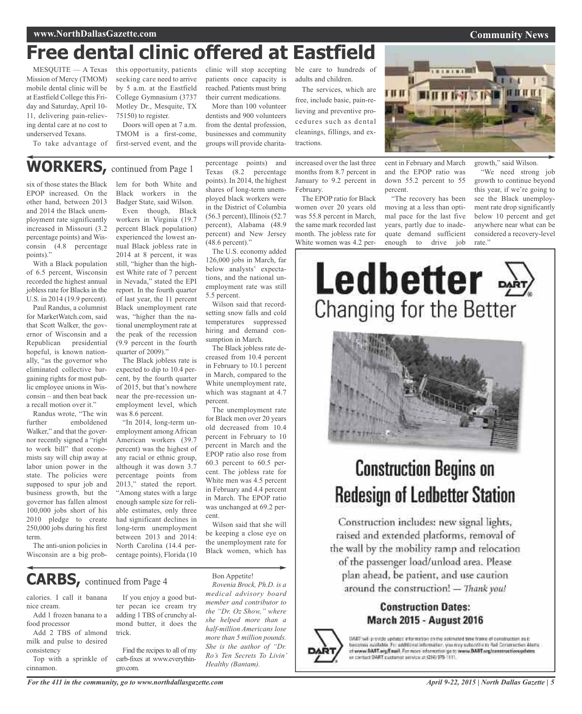#### **www.NorthDallasGazette.com**

## **Free dental clinic offered at Eastfield**

MESQUITE — A Texas Mission of Mercy (TMOM) mobile dental clinic will be at Eastfield College this Friday and Saturday, April 10- 11, delivering pain-relieving dental care at no cost to underserved Texans.

To take advantage of

this opportunity, patients clinic will stop accepting seeking care need to arrive by 5 a.m. at the Eastfield College Gymnasium (3737 Motley Dr., Mesquite, TX 75150) to register.

Doors will open at 7 a.m. TMOM is a first-come, first-served event, and the

patients once capacity is reached. Patients must bring their current medications.

More than 100 volunteer dentists and 900 volunteers from the dental profession, businesses and community groups will provide charitable care to hundreds of adults and children.

The services, which are free, include basic, pain-relieving and preventive procedures such as dental cleanings, fillings, and extractions.

increased over the last three months from 8.7 percent in January to 9.2 percent in February.

The EPOP ratio for Black women over 20 years old was 55.8 percent in March, the same mark recorded last month. The jobless rate for White women was 4.2 perpercent.

"The recovery has been moving at a less than optimal pace for the last five years, partly due to inadequate demand sufficient enough to drive job

this year, if we're going to see the Black unemployment rate drop significantly below 10 percent and get anywhere near what can be considered a recovery-level rate."

**WORKERS,** continued from Page <sup>1</sup>

six of those states the Black EPOP increased. On the other hand, between 2013 and 2014 the Black unemployment rate significantly increased in Missouri (3.2 percentage points) and Wisconsin (4.8 percentage points)."

With a Black population of 6.5 percent, Wisconsin recorded the highest annual jobless rate for Blacks in the U.S. in 2014 (19.9 percent).

Paul Randus, a columnist for MarketWatch.com, said that Scott Walker, the governor of Wisconsin and a Republican presidential hopeful, is known nationally, "as the governor who eliminated collective bargaining rights for most public employee unions in Wisconsin – and then beat back a recall motion over it."

Randus wrote, "The win further emboldened Walker," and that the governor recently signed a "right to work bill" that economists say will chip away at labor union power in the state. The policies were supposed to spur job and business growth, but the governor has fallen almost 100,000 jobs short of his 2010 pledge to create 250,000 jobs during his first term.

The anti-union policies in Wisconsin are a big prob-

#### lem for both White and Black workers in the Badger State, said Wilson.

Even though, Black workers in Virginia (19.7 percent Black population) experienced the lowest annual Black jobless rate in 2014 at 8 percent, it was still, "higher than the highest White rate of 7 percent in Nevada," stated the EPI report. In the fourth quarter of last year, the 11 percent Black unemployment rate was, "higher than the national unemployment rate at the peak of the recession (9.9 percent in the fourth quarter of 2009)."

The Black jobless rate is expected to dip to 10.4 percent, by the fourth quarter of 2015, but that's nowhere near the pre-recession unemployment level, which was 8.6 percent.

"In 2014, long-term unemployment among African American workers (39.7 percent) was the highest of any racial or ethnic group, although it was down 3.7 percentage points from 2013," stated the report. "Among states with a large enough sample size for reliable estimates, only three had significant declines in long-term unemployment between 2013 and 2014: North Carolina (14.4 percentage points), Florida (10

percentage points) and Texas (8.2 percentage points). In 2014, the highest shares of long-term unemployed black workers were in the District of Columbia (56.3 percent), Illinois (52.7 percent), Alabama (48.9 percent) and New Jersey (48.6 percent)."

The U.S. economy added 126,000 jobs in March, far below analysts' expectations, and the national unemployment rate was still 5.5 percent.

Wilson said that recordsetting snow falls and cold temperatures suppressed hiring and demand consumption in March.

The Black jobless rate decreased from 10.4 percent in February to 10.1 percent in March, compared to the White unemployment rate, which was stagnant at 4.7 percent.

The unemployment rate for Black men over 20 years old decreased from 10.4 percent in February to 10 percent in March and the EPOP ratio also rose from 60.3 percent to 60.5 percent. The jobless rate for White men was 4.5 percent in February and 4.4 percent in March. The EPOP ratio was unchanged at 69.2 percent.

Wilson said that she will be keeping a close eye on the unemployment rate for Black women, which has

## **CARBS,** continued from Page <sup>4</sup>

calories. I call it banana nice cream.

Add 1 frozen banana to a food processor

Add 2 TBS of almond milk and pulse to desired consistency

Top with a sprinkle of cinnamon.

If you enjoy a good butter pecan ice cream try adding 1 TBS of crunchy almond butter, it does the trick.

Find the recipes to all of my carb-fixes at www.everythingro.com.

Bon Appetite! *Rovenia Brock, Ph.D. is a medical advisory board member and contributor to the "Dr. Oz Show," where she helped more than a half-million Americans lose more than 5 million pounds. She is the author of "Dr. Ro's Ten Secrets To Livin' Healthy (Bantam).*

# Ledbetter Changing for the Better



## **Construction Begins on Redesign of Ledbetter Station**

Construction includes: new signal lights, raised and extended platforms, removal of the wall by the mobility ramp and relocation of the passenger load/unload area. Please

plan ahead, be patient, and use caution around the construction! - Thank you!

### **Construction Dates: March 2015 - August 2016**



DART will provide updated information on the estimated time frame of comstruction as it. becomes available. For additional information, you may subscribe to Red Construction Alerts<br>of www.DAAT.wg/Email. For more information go to www.DAAT.org/constructionupdates or contact DART customer service at (214) 975-1111.

#### **Community News**



 $18181 -$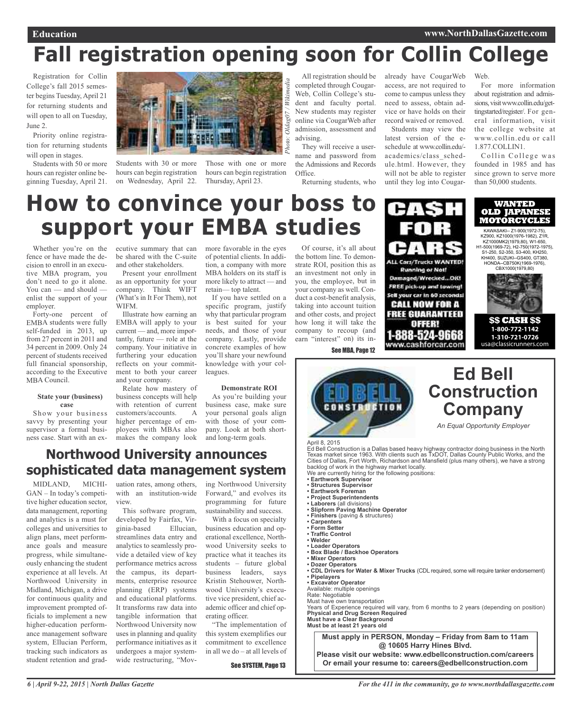# **Fall registration opening soon for Collin College**

Registration for Collin College's fall 2015 semester begins Tuesday, April 21 for returning students and will open to all on Tuesday, June 2.

Priority online registration for returning students will open in stages.

Students with 50 or more hours can register online beginning Tuesday, April 21.



Students with 30 or more hours can begin registration on Wednesday, April 22.

Those with one or more hours can begin registration Thursday, April 23.

All registration should be completed through Cougar-Web, Collin College's student and faculty portal. New students may register online via CougarWeb after admission, assessment and advising.

They will receive a username and password from the Admissions and Records Office.

Returning students, who

already have CougarWeb access, are not required to come to campus unless they need to assess, obtain advice or have holds on their record waived or removed. Students may view the

latest version of the eschedule at www.collin.edu/ academics/class\_schedule.html. However, they will not be able to register until they log into Cougar-

**ALL Cars/Trucks WANTED! Running or Not!** Damaged/Wrecked...OIG FREE pick-up and towing! Sell your car in 60 seconds! **CALL NOW FOR A FREE GUARANTEED** offer -888-524-9668

Web.

For more information about registration and admissions, visit www.collin.edu/gettingstarted/register/. For general information, visit the college website at www.collin.edu or call 1.877.COLLIN1.

Collin College was founded in 1985 and has since grown to serve more than 50,000 students.

**WANTED OLD JAPANESE MOTORCYCLES**  KAWASAKI-- Z1-900(1972-75), KZ900, KZ1000(1976-1982), Z1R, KZ1000MK2(1979,80), W1-650, H1-500(1969-72), H2-750(1972-1975), S1-250, S2-350, S3-400, KH250, KH400, SUZUKI--GS400, GT380, HONDA--CB750K(1969-1976), CBX1000(1979,80)

**\$\$ CASH \$\$ 1-800-772-1142 1-310-721-0726**  usa@classicrunners.com

# **How to convince your boss to support your EMBA studies**

Whether you're on the fence or have made the decision to enroll in an executive MBA program, you don't need to go it alone. You can — and should enlist the suppor<sup>t</sup> of your employer.

Forty-one percen<sup>t</sup> of EMBA students were fully self-funded in 2013, up from 27 percen<sup>t</sup> in 2011 and 34 percen<sup>t</sup> in 2009. Only 24 percen<sup>t</sup> of students received full financial sponsorship, according to the Executive MBA Council.

#### **State your (business) case**

Show your business savvy by presenting your supervisor <sup>a</sup> formal business case. Start with an executive summary that can be shared with the C-suite and other stakeholders. Present your enrollment

as an opportunity for your company. Think WIFT (What's in It For Them), not WIFM.

Illustrate how earning an EMBA will apply to your current — and, more importantly, future — role at the company. Your initiative in furthering your education reflects on your commitment to both your career and your company.

Relate how mastery of business concepts will help with retention of current customers/accounts. A higher percentage of employees with MBAs also makes the company look

more favorable in the eyes of potential clients. In addition, <sup>a</sup> company with more MBA holders on its staff is more likely to attract — and retain— top talent.

If you have settled on <sup>a</sup> specific program, justify why that particular program is best suited for your needs, and those of your company. Lastly, provide concrete examples of how you'll share your newfound knowledge with your colleagues.

#### **Demonstrate ROI**

As you're building your business case, make sure your personal goals align with those of your company. Look at both shortand long-term goals.

### **Northwood University announces sophisticated data management system**

MIDLAND, MICHI-GAN – In today's competitive higher education sector, data management, reporting and analytics is a must for colleges and universities to align plans, meet performance goals and measure progress, while simultaneously enhancing the student experience at all levels. At Northwood University in Midland, Michigan, a drive for continuous quality and improvement prompted officials to implement a new higher-education performance management software system, Ellucian Perform, tracking such indicators as student retention and graduation rates, among others, with an institution-wide view.

This software program, developed by Fairfax, Virginia-based Ellucian, streamlines data entry and analytics to seamlessly provide a detailed view of key performance metrics across the campus, its departments, enterprise resource planning (ERP) systems and educational platforms. It transforms raw data into tangible information that Northwood University now uses in planning and quality performance initiatives as it undergoes a major systemwide restructuring, "Mov-

ing Northwood University Forward," and evolves its programming for future sustainability and success.

With a focus on specialty business education and operational excellence, Northwood University seeks to practice what it teaches its students – future global business leaders, says Kristin Stehouwer, Northwood University's executive vice president, chief academic officer and chief operating officer.

"The implementation of this system exemplifies our commitment to excellence in all we do – at all levels of

See SYSTEM, Page 13

Of course, it's all about the bottom line. To demonstrate ROI, position this as an investment not only in you, the employee, but in your company as well. Conduct <sup>a</sup> cost-benefit analysis, taking into account tuition and other costs, and project how long it will take the company to recoup (and earn "interest" on) its in-



www.cashforcar.com See MBA, Page 12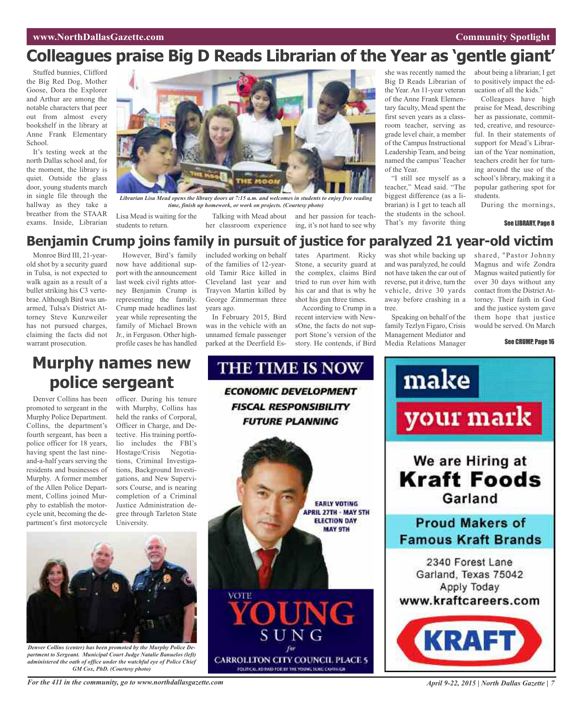## **Colleagues praise Big D Reads Librarian of the Year as 'gentle giant'**

Stuffed bunnies, Clifford the Big Red Dog, Mother Goose, Dora the Explorer and Arthur are among the notable characters that peer out from almost every bookshelf in the library at Anne Frank Elementary School.

It's testing week at the north Dallas school and, for the moment, the library is quiet. Outside the glass door, young students march in single file through the hallway as they take a breather from the STAAR exams. Inside, Librarian



Librarian Lisa Mead opens the library doors at 7:15 a.m. and welcomes in students to enjoy free reading *time, finish up homework, or work on projects. (Courtesy photo)*

Lisa Mead is waiting for the students to return.

Talking with Mead about and her passion for teachher classroom experience ing, it's not hard to see why she was recently named the Big D Reads Librarian of the Year. An 11-year veteran of the Anne Frank Elementary faculty, Mead spent the first seven years as a classroom teacher, serving as grade level chair, a member of the Campus Instructional Leadership Team, and being named the campus'Teacher of the Year.

"I still see myself as a teacher," Mead said. "The biggest difference (as a librarian) is I get to teach all the students in the school. That's my favorite thing about being a librarian; I get to positively impact the education of all the kids."

Colleagues have high praise for Mead, describing her as passionate, committed, creative, and resourceful. In their statements of support for Mead's Librarian of the Year nomination, teachers credit her for turning around the use of the school's library, making it a popular gathering spot for students.

During the mornings,

#### See LIBRARY, Page 8

### **Benjamin Crump joins family in pursuit of justice for paralyzed 21 year-old victim**

THE TIME IS NOW

**ECONOMIC DEVELOPMENT** 

**FISCAL RESPONSIBILITY** 

Monroe Bird III, 21-yearold shot by a security guard in Tulsa, is not expected to walk again as a result of a bullet striking his C3 vertebrae. Although Bird was unarmed, Tulsa's District Attorney Steve Kunzweiler has not pursued charges, claiming the facts did not warrant prosecution.

However, Bird's family now have additional support with the announcement last week civil rights attorney Benjamin Crump is representing the family. Crump made headlines last year while representing the family of Michael Brown Jr., in Ferguson. Other highprofile cases he has handled

included working on behalf of the families of 12-yearold Tamir Rice killed in Cleveland last year and Trayvon Martin killed by George Zimmerman three years ago.

In February 2015, Bird was in the vehicle with an unnamed female passenger parked at the Deerfield Estates Apartment. Ricky Stone, a security guard at the complex, claims Bird tried to run over him with his car and that is why he shot his gun three times.

According to Crump in a recent interview with NewsOne, the facts do not support Stone's version of the story. He contends, if Bird

was shot while backing up and was paralyzed, he could not have taken the car out of reverse, put it drive, turn the vehicle, drive 30 yards away before crashing in a tree.

Speaking on behalf of the family Tezlyn Figaro, Crisis Management Mediator and Media Relations Manager

shared, "Pastor Johnny Magnus and wife Zondra Magnus waited patiently for over 30 days without any contact from the District Attorney. Their faith in God and the justice system gave them hope that justice would be served. On March

#### See CRUMP, Page 16

## **Murphy names new police sergeant**

Denver Collins has been promoted to sergeant in the Murphy Police Department. Collins, the department's fourth sergeant, has been a police officer for 18 years, having spent the last nineand-a-half years serving the residents and businesses of Murphy. A former member of the Allen Police Department, Collins joined Murphy to establish the motorcycle unit, becoming the department's first motorcycle

officer. During his tenure with Murphy, Collins has held the ranks of Corporal, Officer in Charge, and Detective. His training portfolio includes the FBI's Hostage/Crisis Negotiations, Criminal Investigations, Background Investigations, and New Supervisors Course, and is nearing completion of a Criminal Justice Administration degree through Tarleton State University.







*Denver Collins (center) has been promoted by the Murphy Police Department to Sergeant. Municipal Court Judge Natalie Banuelos (left) administered the oath of office under the watchful eye of Police Chief GM Cox, PhD. (Courtesy photo)*

For the 411 in the community, go to www.northdallasgazette.com April 9-22, 2015 | North Dallas Gazette | 7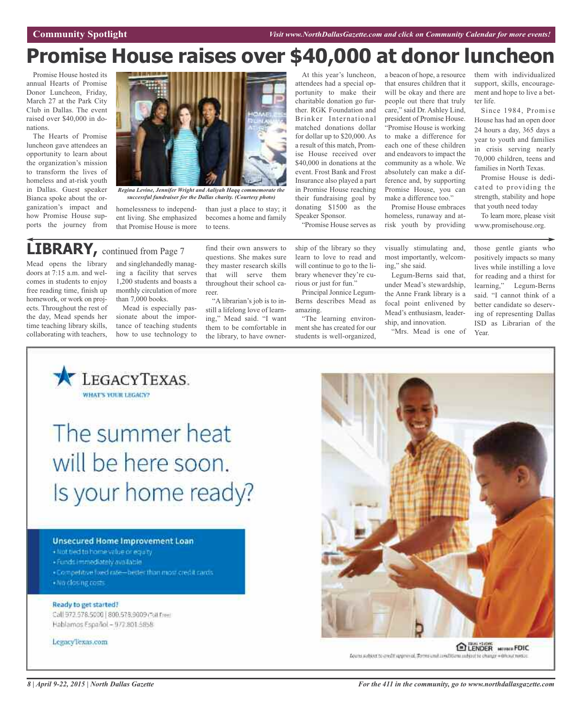# **Promise House raises over \$40,000 at donor luncheon**

Promise House hosted its annual Hearts of Promise Donor Luncheon, Friday, March 27 at the Park City Club in Dallas. The event raised over \$40,000 in donations.

The Hearts of Promise luncheon gave attendees an opportunity to learn about the organization's mission to transform the lives of homeless and at-risk youth in Dallas. Guest speaker Bianca spoke about the organization's impact and how Promise House supports the journey from



*Regina Levine, Jennifer Wright and Aaliyah Haqq commemorate the successful fundraiser for the Dallas charity. (Courtesy photo)*

to teens.

homelessness to independent living. She emphasized that Promise House is more

**LIBRARY**, continued from Page 7

Mead opens the library doors at 7:15 a.m. and welcomes in students to enjoy free reading time, finish up homework, or work on projects. Throughout the rest of the day, Mead spends her time teaching library skills, collaborating with teachers,

and singlehandedly managing a facility that serves 1,200 students and boasts a monthly circulation of more than 7,000 books.

Mead is especially passionate about the importance of teaching students how to use technology to

find their own answers to questions. She makes sure they master research skills that will serve them throughout their school career.

than just a place to stay; it becomes a home and family

"A librarian's job is to instill a lifelong love of learning," Mead said. "I want them to be comfortable in the library, to have owner-

At this year's luncheon, attendees had a special opportunity to make their charitable donation go further. RGK Foundation and Brinker International matched donations dollar for dollar up to \$20,000. As a result of this match, Promise House received over \$40,000 in donations at the event. Frost Bank and Frost Insurance also played a part in Promise House reaching their fundraising goal by donating \$1500 as the Speaker Sponsor.

"Promise House serves as

Principal Jonnice Legum-Berns describes Mead as

"The learning environment she has created for our students is well-organized,

rious or just for fun."

amazing.

a beacon of hope, a resource that ensures children that it will be okay and there are people out there that truly care," said Dr. Ashley Lind, president of Promise House. "Promise House is working to make a difference for each one of these children and endeavors to impact the community as a whole. We absolutely can make a difference and, by supporting Promise House, you can make a difference too."

Promise House embraces homeless, runaway and atrisk youth by providing them with individualized support, skills, encouragement and hope to live a better life.

Since 1984, Promise House has had an open door 24 hours a day, 365 days a year to youth and families in crisis serving nearly 70,000 children, teens and families in North Texas.

Promise House is dedicated to providing the strength, stability and hope that youth need today

To learn more, please visit www.promisehouse.org.

ship of the library so they learn to love to read and will continue to go to the library whenever they're cuvisually stimulating and, most importantly, welcoming," she said.

Legum-Berns said that, under Mead's stewardship, the Anne Frank library is a focal point enlivened by Mead's enthusiasm, leadership, and innovation.

"Mrs. Mead is one of

those gentle giants who positively impacts so many lives while instilling a love for reading and a thirst for learning," Legum-Berns said. "I cannot think of a better candidate so deserving of representing Dallas ISD as Librarian of the Year.



# The summer heat will be here soon. Is your home ready?

#### **Unsecured Home Improvement Loan**

· Not tied to home value or equity

- · Funds immediately available
- . Competitive tived rate-inerter than most credit rards
- · No closing conts

#### Ready to get started!

Call 972.578.5000 | 800.578.9009 (Foll Free) Hablamos Español - 972.801.5858

LegacyTexas.com



ELENDER MIVWIR FDIC Loans subject to credit approval. Terms and conditions subject to change without notice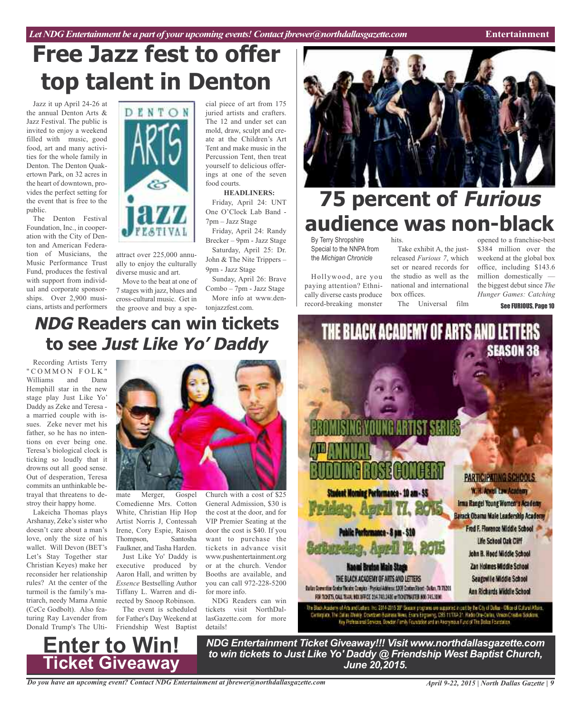*Let NDG Entertainment be a part of your upcoming events!Contact jbrewer@northdallasgazette.com* **Entertainment**

# **Free Jazz fest to offer top talent in Denton**

Jazz it up April 24-26 at the annual Denton Arts & Jazz Festival. The public is invited to enjoy a weekend filled with music, good food, art and many activities for the whole family in Denton. The Denton Quakertown Park, on 32 acres in the heart of downtown, provides the perfect setting for the event that is free to the public.

The Denton Festival Foundation, Inc., in cooperation with the City of Denton and American Federation of Musicians, the Music Performance Trust Fund, produces the festival with support from individual and corporate sponsorships. Over 2,900 musicians, artists and performers



attract over 225,000 annually to enjoy the culturally diverse music and art.

Move to the beat at one of 7 stages with jazz, blues and cross-cultural music. Get in the groove and buy a spe-tonjazzfest.com.

cial piece of art from 175 juried artists and crafters. The 12 and under set can mold, draw, sculpt and create at the Children's Art Tent and make music in the Percussion Tent, then treat yourself to delicious offerings at one of the seven food courts.

#### **HEADLINERS:**

Friday, April 24: UNT One O'Clock Lab Band - 7pm – Jazz Stage

Friday, April 24: Randy Brecker – 9pm - Jazz Stage Saturday, April 25: Dr.

John & The Nite Trippers – 9pm - Jazz Stage

Sunday, April 26: Brave Combo – 7pm - Jazz Stage More info at www.den-



# **75 percent of Furious audience was non-black**

By Terry Shropshire Special to the NNPA from the *Michigan Chronicle*

Hollywood, are you paying attention? Ethnically diverse casts produce record-breaking monster

hits. Take exhibit A, the justreleased *Furious 7*, which set or neared records for the studio as well as the national and international box offices.

The Universal film

opened to a franchise-best \$384 million over the weekend at the global box office, including \$143.6 million domestically the biggest debut since *The Hunger Games: Catching*

See FURIOUS, Page 10

## **NDG Readers can win tickets to see Just Like Yo' Daddy**

Recording Artists Terry " COMMON FOLK' Williams and Dana Hemphill star in the new stage play Just Like Yo' Daddy as Zeke and Teresa a married couple with issues. Zeke never met his father, so he has no intentions on ever being one. Teresa's biological clock is ticking so loudly that it drowns out all good sense. Out of desperation, Teresa commits an unthinkable betrayal that threatens to destroy their happy home.

Lakeicha Thomas plays Arshanay, Zeke's sister who doesn't care about a man's love, only the size of his wallet. Will Devon (BET's Let's Stay Together star Christian Keyes) make her reconsider her relationship rules? At the center of the turmoil is the family's matriarch, needy Mama Annie (CeCe Godbolt). Also featuring Ray Lavender from Donald Trump's The Ulti-



mate Merger, Gospel Comedienne Mrs. Cotton White, Christian Hip Hop Artist Norris J, Contessah Irene, Cory Espie, Raison Thompson, Santosha Faulkner, and Tasha Harden.

Just Like Yo' Daddy is executive produced by Aaron Hall, and written by *Essence* Bestselling Author Tiffany L. Warren and directed by Snoop Robinson.

The event is scheduled for Father's Day Weekend at Friendship West Baptist

**Enter to Win!**

**Ticket Giveaway**

Church with a cost of \$25 General Admission, \$30 is the cost at the door, and for VIP Premier Seating at the door the cost is \$40. If you want to purchase the tickets in advance visit www.pushentertainment.org or at the church. Vendor Booths are available, and you can call 972-228-5200 for more info.

NDG Readers can win tickets visit NorthDallasGazette.com for more details!



The Black Academy of Arts and Letters. Inc. 2014-2015 38" Seeson programs are supported in part by the City of Daltas - Office of Cultural Atlairs. -Centerpine, The Datas: Weekly, Downbern Basiness News, Evans Engraving, CBS 11/1XA 21. Hadio One-Carlas, Vinson Creative Solutions.<br>Key Professional Services, Bowdon Family Foundation and an Atkorymous Fund of The Datas Fo

*NDG Entertainment Ticket Giveaway!!! Visit www.northdallasgazette.com to win tickets to Just Like Yo' Daddy @ Friendship West Baptist Church, June 20,2015.*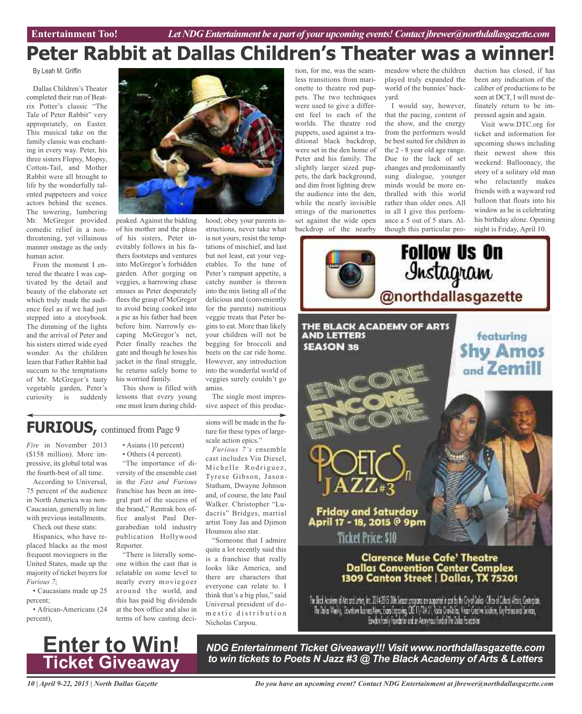# **Peter Rabbit at Dallas Children's Theater was a winner!**

#### By Leah M. Griffin

Dallas Children's Theater completed their run of Beatrix Potter's classic "The Tale of Peter Rabbit" very appropriately, on Easter. This musical take on the family classic was enchanting in every way. Peter, his three sisters Flopsy, Mopsy, Cotton-Tail, and Mother Rabbit were all brought to life by the wonderfully talented puppeteers and voice actors behind the scenes. The towering, lumbering Mr. McGregor provided comedic relief in a nonthreatening, yet villainous manner onstage as the only human actor.

From the moment I entered the theatre I was captivated by the detail and beauty of the elaborate set which truly made the audience feel as if we had just stepped into a storybook. The dimming of the lights and the arrival of Peter and his sisters stirred wide eyed wonder. As the children learn that Father Rabbit had succum to the temptations of Mr. McGregor's tasty vegetable garden, Peter's curiosity is suddenly



peaked. Against the bidding of his mother and the pleas of his sisters, Peter inevitably follows in his fathers footsteps and ventures into McGregor's forbidden garden. After gorging on veggies, a harrowing chase ensues as Peter desperately flees the grasp of McGregor to avoid being cooked into a pie as his father had been before him. Narrowly escaping McGregor's net, Peter finally reaches the gate and though he loses his jacket in the final struggle, he returns safely home to his worried family.

This show is filled with lessons that every young one must learn during childhood; obey your parents instructions, never take what is not yours, resist the temptations of mischief, and last but not least, eat your vegetables. To the tune of Peter's rampant appetite, a catchy number is thrown into the mix listing all of the delicious and (conveniently for the parents) nutritious veggie treats that Peter begins to eat. More than likely your children will not be begging for broccoli and beets on the car ride home. However, any introduction into the wonderful world of veggies surely couldn't go amiss.

The single most impressive aspect of this produc-

**FURIOUS,** continued from Page <sup>9</sup>

*Fire* in November 2013 (\$158 million). More impressive, its global total was the fourth-best of all time.

According to Universal, 75 percent of the audience in North America was non-Caucasian, generally in line with previous installments. Check out these stats:

Hispanics, who have replaced blacks as the most frequent moviegoers in the United States, made up the majority of ticket buyers for *Furious 7*;

• Caucasians made up 25 percent;

• African-Americans (24 percent),

#### • Asians (10 percent) • Others (4 percent).

"The importance of diversity of the ensemble cast in the *Fast and Furious* franchise has been an integral part of the success of the brand," Rentrak box office analyst Paul Dergarabedian told industry publication Hollywood Reporter.

"There is literally someone within the cast that is relatable on some level to nearly every moviegoer around the world, and this has paid big dividends at the box office and also in terms of how casting decisions will be made in the future for these types of largescale action epics."

*Furious 7's* ensemble cast includes Vin Diesel, Michelle Rodriguez, Tyrese Gibson, Jason-Statham, Dwayne Johnson and, of course, the late Paul Walker. Christopher "Ludacris" Bridges, martial artist Tony Jaa and Djimon Hounsou also star.

"Someone that I admire quite a lot recently said this is a franchise that really looks like America, and there are characters that everyone can relate to. I think that's a big plus," said Universal president of dom e stic distribution Nicholas Carpou.

tion, for me, was the seamless transitions from marionette to theatre rod puppets. The two techniques were used to give a different feel to each of the worlds. The theatre rod puppets, used against a traditional black backdrop, were set in the den home of Peter and his family. The slightly larger sized puppets, the dark background, and dim front lighting drew the audience into the den, while the nearly invisible strings of the marionettes set against the wide open backdrop of the nearby

meadow where the children played truly expanded the world of the bunnies' backyard.

I would say, however, that the pacing, content of the show, and the energy from the performers would be best suited for children in the 2 - 8 year old age range. Due to the lack of set changes and predominantly sung dialogue, younger minds would be more enthralled with this world rather than older ones. All in all I give this performance a 5 out of 5 stars. Although this particular production has closed, if has been any indication of the caliber of productions to be seen at DCT, I will most definately return to be impressed again and again.

Visit www.DTC.org for ticket and information for upcoming shows including their newest show this weekend: Balloonacy, the story of a solitary old man who reluctantly makes friends with a wayward red balloon that floats into his window as he is celebrating his birthday alone. Opening night is Friday, April 10.



The Neck Access of Art and intensity. 2014-2015 386 Senar program are appared a pathyles Cry of Dakes - Clicked Charal Africa, Centerplac. The bake Where, Deviden Barnes Now, Experimental OST 1/70411, Rock Crafteles, Visso Cream Sculpe, September 2010ers Bevoor family formation and an Anarymais find of The Color Foundation.



*NDG Entertainment Ticket Giveaway!!! Visit www.northdallasgazette.com to win tickets to Poets N Jazz #3 @ The Black Academy of Arts & Letters*

*10 | April 9-22, 2015 | North Dallas Gazette*

*Do you have an upcoming event? Contact NDG Entertainment at jbrewer@northdallasgazette.com*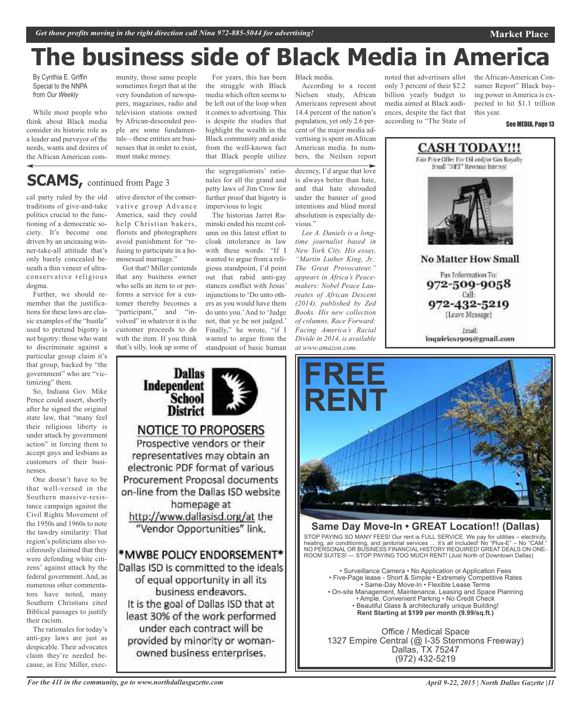# **The business side of Black Media in America**

By Cynthia E. Griffin Special to the NNPA from *Our Weekly*

While most people who think about Black media consider its historic role as a leader and purveyor of the needs, wants and desires of the African American com-

munity, those same people sometimes forget that at the very foundation of newspapers, magazines, radio and television stations owned by African-descended people are some fundamentals—these entities are businesses that in order to exist, must make money.

## **SCAMS**, continued from Page 3

cal party ruled by the old traditions of give-and-take politics crucial to the functioning of a democratic society. It's become one driven by an unceasing winner-take-all attitude that's only barely concealed beneath a thin veneer of ultraconservative religious dogma.

Further, we should remember that the justifications for these laws are classic examples of the "hustle" used to pretend bigotry is not bigotry: those who want to discriminate against a particular group claim it's that group, backed by "the government" who are "victimizing" them.

So, Indiana Gov. Mike Pence could assert, shortly after he signed the original state law, that "many feel their religious liberty is under attack by government action" in forcing them to accept gays and lesbians as customers of their businesses.

One doesn't have to be that well-versed in the Southern massive-resistance campaign against the Civil Rights Movement of the 1950s and 1960s to note the tawdry similarity: That region's politicians also vociferously claimed that they were defending white citizens' against attack by the federal government. And, as numerous other commentators have noted, many Southern Christians cited Biblical passages to justify their racism.

The rationales for today's anti-gay laws are just as despicable. Their advocates claim they're needed because, as Eric Miller, executive director of the conservative group Advance America, said they could help Christian bakers, florists and photographers avoid punishment for "refusing to participate in a homosexual marriage."

Got that? Miller contends that any business owner who sells an item to or performs a service for a customer thereby becomes a "participant," and "involved" in whatever it is the customer proceeds to do with the item. If you think that's silly, look up some of

**Dallas** 

**School District** 

**NOTICE TO PROPOSERS** Prospective vendors or their representatives may obtain an electronic PDF format of various Procurement Proposal documents on-line from the Dallas ISD website homepage at http://www.dallasisd.org/at the "Vendor Opportunities" link.

\*MWBE POLICY ENDORSEMENT\* Dallas ISD is committed to the ideals of equal opportunity in all its business endeavors. It is the goal of Dallas ISD that at least 30% of the work performed under each contract will be provided by minority or womanowned business enterprises.

Independent

For years, this has been the struggle with Black media which often seems to be left out of the loop when it comes to advertising. This is despite the studies that highlight the wealth in the Black community and aside from the well-known fact that Black people utilize

the segregationists' rationales for all the grand and petty laws of Jim Crow for further proof that bigotry is impervious to logic

The historian Jarret Ruminski ended his recent column on this latest effort to cloak intolerance in law with these words: "If I wanted to argue from a religious standpoint, I'd point out that rabid anti-gay stances conflict with Jesus' injunctions to 'Do unto others as you would have them do unto you.'And to 'Judge not, that ye be not judged.' Finally," he wrote, "if I wanted to argue from the standpoint of basic human

Black media.

According to a recent Nielsen study, African Americans represent about 14.4 percent of the nation's population, yet only 2.6 percent of the major media advertising is spent on African American media. In numbers, the Neilsen report

decency, I'd argue that love is always better than hate, and that hate shrouded under the banner of good intentions and blind moral absolutism is especially devious."

*Lee A. Daniels is a longtime journalist based in New York City. His essay, "Martin Luther King, Jr.: The Great Provocateur," appears in Africa's Peacemakers: Nobel Peace Laureates of African Descent (2014), published by Zed Books. His new collection of columns, Race Forward: Facing America's Racial Divide in 2014, is available at www.amazon.com.*

noted that advertisers allot only 3 percent of their \$2.2 billion yearly budget to media aimed at Black audiences, despite the fact that according to "The State of

the African-American Consumer Report" Black buying power in America is expected to hit \$1.1 trillion this year.

**Market Place**

See MEDIA, Page 13



Fax Information To: 972-509-9058 Call: 972-432-5219

(Leave Message)

Friail: inquiries1909@gmail.com



### **Same Day Move-In • GREAT Location!! (Dallas)**

STOP PAYING SO MANY FEES! Our rent is FULL SERVICE. We pay for utilities – electricity, heating, air conditioning, and janitorial services … it's all included! No "Plus-E" – No "CAM." NO PERSONAL OR BUSINESS FINANCIAL HISTORY REQUIRED! GREAT DEALS ON ONE-ROOM SUITES! --- STOP PAYING TOO MUCH RENT! (Just North of Downtown Dallas)

• Surveillance Camera • No Application or Application Fees • Five-Page lease - Short & Simple • Extremely Competitive Rates • Same-Day Move-In • Flexible Lease Terms • On-site Management, Maintenance, Leasing and Space Planning • Ample, Convenient Parking • No Credit Check • Beautiful Glass & architecturally unique Building! **Rent Starting at \$199 per month (9.99/sq.ft.)**

Office / Medical Space 1327 Empire Central (@ I-35 Stemmons Freeway) Dallas, TX 75247 (972) 432-5219

*For the 411 in the community, go to www.northdallasgazette.com*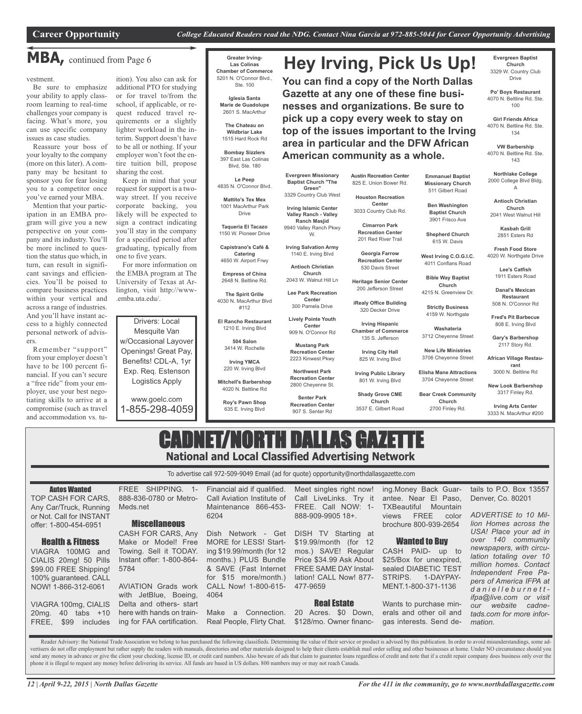**Hey Irving, Pick Us Up!**

**You can find a copy of the North Dallas Gazette at any one of these fine businesses and organizations. Be sure to pick up a copy every week to stay on top of the issues important to the Irving area in particular and the DFW African**

## **MBA,** continued from Page <sup>6</sup>

vestment.

Be sure to emphasize your ability to apply classroom learning to real-time challenges your company is facing. What's more, you can use specific company issues as case studies.

Reassure your boss of your loyalty to the company (more on this later). A company may be hesitant to sponsor you for fear losing you to a competitor once you've earned your MBA.

Mention that your participation in an EMBA program will give you a new perspective on your company and its industry. You'll be more inclined to question the status quo which, in turn, can result in significant savings and efficiencies. You'll be poised to compare business practices within your vertical and across a range of industries. And you'll have instant access to a highly connected personal network of advisers.

Remember "support" from your employer doesn't have to be 100 percent financial. If you can't secure a "free ride" from your employer, use your best negotiating skills to arrive at a compromise (such as travel and accommodation vs. tu-

ition). You also can ask for additional PTO for studying or for travel to/from the school, if applicable, or request reduced travel requirements or a slightly lighter workload in the interim. Support doesn't have to be all or nothing. If your employer won't foot the entire tuition bill, propose sharing the cost.

Keep in mind that your request for support is a twoway street. If you receive corporate backing, you likely will be expected to sign a contract indicating you'll stay in the company for a specified period after graduating, typically from one to five years.

For more information on the EMBA program at The University of Texas at Arlington, visit http://www- .emba.uta.edu/.

Drivers: Local Mesquite Van w/Occasional Layover Openings! Great Pay, Benefits! CDL-A, 1yr Exp. Req. Estenson Logistics Apply

www.goelc.com 1-855-298-4059

**Greater Irving-Las Colinas Chamber of Commerce** 5201 N. O'Connor Blvd.,

> **Iglesia Santa** 2601 S. MacArthur

**The Chateau on Wildbriar Lake** 1515 Hard Rock Rd

Blvd, Ste. 180

4835 N. O'Connor Blvd.

4650 W. Airport Frwy

**Empress of China** 2648 N. Beltline Rd.

**The Spirit Grille** 4030 N. MacArthur Blvd #112

**El Rancho Restaurant** 1210 E. Irving Blvd

**504 Salon** 3414 W. Rochelle

**Irving YMCA** 220 W. Irving Blvd

**Mitchell's Barbershop** 4020 N. Beltline Rd

**Roy's Pawn Shop** 635 E. Irving Blvd

Ste. 100

**Marie de Guadolupe**

**Bombay Sizzlers** 397 East Las Colinas

**Le Peep**

**Mattito's Tex Mex** 1001 MacArthur Park Drive

**Taqueria El Tacazo** 1150 W. Pioneer Drive

**Capistrano's Café & Catering**

> **Antioch Christian** 2043 W. Walnut Hill Ln

**Lee Park Recreation Center** 300 Pamela Drive

> **Lively Pointe Youth Center** 909 N. O'Connor Rd

**Church**

**Evergreen Missionary Baptist Church "The Green"** 3329 Country Club West **Irving Islamic Center Valley Ranch - Valley Ranch Masjid** 9940 Valley Ranch Pkwy W. **Irving Salvation Army** 1140 E. Irving Blvd

**Mustang Park Recreation Center** 2223 Kinwest Pkwy

**Northwest Park Recreation Center**

2800 Cheyenne St. **Senter Park**

**Recreation Center** 907 S. Senter Rd

**Austin Recreation Center** 825 E. Union Bower Rd.

**American community as a whole.**

**Houston Recreation Center** 3033 Country Club Rd.

**Cimarron Park Recreation Center**

201 Red River Trail **Georgia Farrow**

**Recreation Center** 530 Davis Street

**Heritage Senior Center** 200 Jefferson Street

**iRealy Office Building** 320 Decker Drive

**Irving Hispanic Chamber of Commerce** 135 S. Jefferson

**Irving City Hall**

825 W. Irving Blvd **Irving Public Library**

801 W. Irving Blvd

**Shady Grove CME Church** 3537 E. Gilbert Road

**Evergreen Baptist Church** 3329 W. Country Club Drive

**Po' Boys Restaurant** 4070 N. Beltline Rd. Ste. 100

**Girl Friends Africa** 4070 N. Beltline Rd. Ste. 134

**VW Barbership** 4070 N. Beltline Rd. Ste. 143

**Northlake College** 2000 College Blvd Bldg. A

**Emmanuel Baptist Missionary Church** 511 Gilbert Road **Ben Washington Baptist Church** 3901 Frisco Ave **Shepherd Church** 615 W. Davis **West Irving C.O.G.I.C.** 4011 Conflans Road **Bible Way Baptist Church** 4215 N. Greenview Dr.

**Strictly Business** 4159 W. Northgate **Washateria** 3712 Cheyenne Street **New Life Ministries** 3706 Cheyenne Street **Elisha Mane Attractions** 3704 Cheyenne Street

**Church**

**Antioch Christian Church** 2041 West Walnut Hill

**Kasbah Grill** 2851 Esters Rd

**Fresh Food Store** 4020 W. Northgate Drive

> **Lee's Catfish** 1911 Esters Road

**Danal's Mexican Restaurant** 508 N. O'Connor Rd

**Fred's Pit Barbecue** 808 E. Irving Blvd

**Gary's Barbershop** 2117 Story Rd.

**African Village Restaurant**

3000 N. Beltline Rd **New Look Barbershop**

**Bear Creek Community** 2700 Finley Rd. 3317 Finley Rd. **Irving Arts Center**

3333 N. MacArthur #200

## CADNET/NORTH DALLAS GAZETTE **National and Local Classified Advertising Network**

To advertise call 972-509-9049 Email (ad for quote) opportunity@northdallasgazette.com

Autos Wanted

TOP CASH FOR CARS, Any Car/Truck, Running or Not. Call for INSTANT offer: 1-800-454-6951

#### Health & Fitness VIAGRA 100MG and

CIALIS 20mg! 50 Pills \$99.00 FREE Shipping! 100% guaranteed. CALL NOW! 1-866-312-6061

VIAGRA 100mg, CIALIS 20mg. 40 tabs +10 FREE, \$99 includes

*12 | April 9-22, 2015 | North Dallas Gazette*

FREE SHIPPING. 1- 888-836-0780 or Metro-6204

#### **Miscellaneous**

Meds.net

CASH FOR CARS, Any Make or Model! Free Towing. Sell it TODAY. Instant offer: 1-800-864- 5784

AVIATION Grads work with JetBlue, Boeing, Delta and others- start here with hands on training for FAA certification.

Financial aid if qualified. Call Aviation Institute of Maintenance 866-453-

Dish Network - Get MORE for LESS! Starting \$19.99/month (for 12 months.) PLUS Bundle & SAVE (Fast Internet for \$15 more/month.) CALL Now! 1-800-615- 4064

Make a Connection. Real People, Flirty Chat.

Meet singles right now! Call LiveLinks. Try it FREE. Call NOW: 1- 888-909-9905 18+.

DISH TV Starting at \$19.99/month (for 12 mos.) SAVE! Regular Price \$34.99 Ask About FREE SAME DAY Installation! CALL Now! 877- 477-9659

#### Real Estate

20 Acres. \$0 Down, \$128/mo. Owner financ-

ing.Money Back Guarantee. Near El Paso, TXBeautiful Mountain views FREE color brochure 800-939-2654

#### Wanted to Buy

CASH PAID- up to \$25/Box for unexpired, sealed DIABETIC TEST STRIPS. 1-DAYPAY-MENT.1-800-371-1136

Wants to purchase minerals and other oil and gas interests. Send de-

*For the 411 in the community, go to www.northdallasgazette.com*

tails to P.O. Box 13557 Denver, Co. 80201

*ADVERTISE to 10 Million Homes across the USA! Place your ad in over 140 community newspapers, with circulation totaling over 10 million homes. Contact Independent Free Papers of America IFPA at d a n i e l l e b u r n e t t ifpa@live.com or visit our website cadnetads.com for more information.*

Reader Advisory: the National Trade Association we belong to has purchased the following classifieds. Determining the value of their service or product is advised by this publication. In order to avoid misunderstandings, s vertisers do not offer employment but rather supply the readers with manuals, directories and other materials designed to help their clients establish mail order selling and other businesses at home. Under NO circumstance send any money in advance or give the client your checking, license ID, or credit card numbers. Also beware of ads that claim to guarantee loans regardless of credit and note that if a credit repair company does business o phone it is illegal to request any money before delivering its service. All funds are based in US dollars. 800 numbers may or may not reach Canada.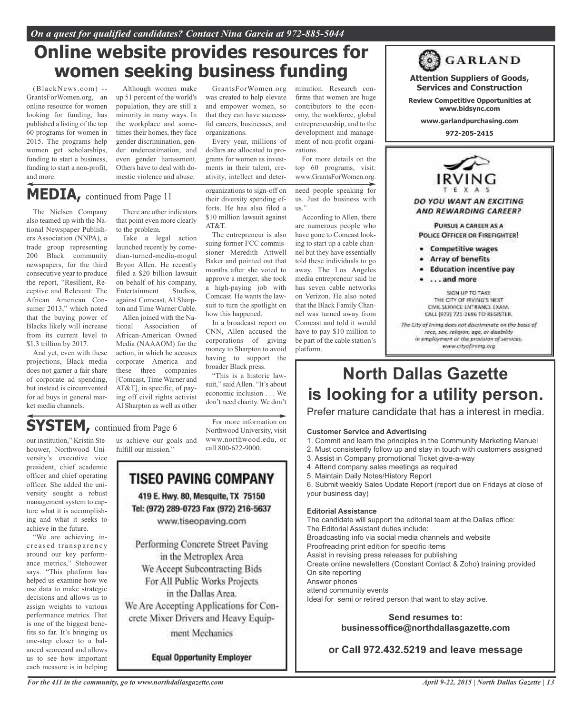## **Online website provides resources for women seeking business funding**

(BlackNews.com) -- GrantsForWomen.org, an online resource for women looking for funding, has published a listing of the top 60 programs for women in 2015. The programs help women get scholarships, funding to start a business, funding to start a non-profit, and more.

Although women make up 51 percent of the world's population, they are still a minority in many ways. In the workplace and sometimes their homes, they face gender discrimination, gender underestimation, and even gender harassment. Others have to deal with domestic violence and abuse.

GrantsForWomen.org was created to help elevate and empower women, so that they can have successful careers, businesses, and organizations.

Every year, millions of dollars are allocated to programs for women as investments in their talent, creativity, intellect and deter-

**MEDIA,** continued from Page <sup>11</sup>

The Nielsen Company also teamed up with the National Newspaper Publishers Association (NNPA), a trade group representing 200 Black community newspapers, for the third consecutive year to produce the report, "Resilient, Receptive and Relevant: The African American Consumer 2013," which noted that the buying power of Blacks likely will increase from its current level to \$1.3 trillion by 2017.

And yet, even with these projections, Black media does not garner a fair share of corporate ad spending, but instead is circumvented for ad buys in general market media channels.

There are other indicators that point even more clearly to the problem.

Take a legal action launched recently by comedian-turned-media-mogul Bryon Allen. He recently filed a \$20 billion lawsuit on behalf of his company,<br>Entertainment Studios, Entertainment against Comcast, Al Sharpton and Time Warner Cable.

Allen joined with the National Association of African-American Owned Media (NAAAOM) for the action, in which he accuses corporate America and these three companies [Comcast, Time Warner and AT&T], in specific, of paying off civil rights activist Al Sharpton as well as other

organizations to sign-off on their diversity spending efforts. He has also filed a \$10 million lawsuit against AT&T.

The entrepreneur is also suing former FCC commissioner Meredith Attwell Baker and pointed out that months after she voted to approve a merger, she took a high-paying job with Comcast. He wants the lawsuit to turn the spotlight on how this happened.

In a broadcast report on CNN, Allen accused the corporations of giving money to Sharpton to avoid having to support the broader Black press.

"This is a historic lawsuit," said Allen. "It's about economic inclusion . . . We don't need charity. We don't

## **SYSTEM,** continued from Page <sup>6</sup>

our institution," Kristin Stehouwer, Northwood University's executive vice president, chief academic officer and chief operating officer. She added the university sought a robust management system to capture what it is accomplishing and what it seeks to achieve in the future.

"We are achieving inc reased transparency around our key performance metrics," Stehouwer says. "This platform has helped us examine how we use data to make strategic decisions and allows us to assign weights to various performance metrics. That is one of the biggest benefits so far. It's bringing us one-step closer to a balanced scorecard and allows us to see how important each measure is in helping

us achieve our goals and fulfill our mission."

For more information on Northwood University, visit www.northwood.edu, or call 800-622-9000.

### **TISEO PAVING COMPANY** 419 E. Hwy. 80, Mesquite, TX 75150 Tel: (972) 289-0723 Fax (972) 216-5637

www.tiseopaving.com

Performing Concrete Street Paving in the Metroplex Area We Accept Subcontracting Bids For All Public Works Projects in the Dallas Area. We Are Accepting Applications for Concrete Mixer Drivers and Heavy Equipment Mechanics

**Equal Opportunity Employer** 

mination. Research confirms that women are huge contributors to the economy, the workforce, global entrepreneurship, and to the development and management of non-profit organizations.

For more details on the top 60 programs, visit: www.GrantsForWomen.org.

need people speaking for us. Just do business with us."

According to Allen, there are numerous people who have gone to Comcast looking to start up a cable channel but they have essentially told these individuals to go away. The Los Angeles media entrepreneur said he has seven cable networks on Verizon. He also noted that the Black Family Channel was turned away from Comcast and told it would have to pay \$10 million to be part of the cable station's platform.

POLICE OFFICER OR FIREFIGHTER! · Competitive wages • Array of benefits · Education incentive pay

> $\bullet$  ... and more SIGN UP TO TAKE THE CITY OF IRVING'S NEXT. CIVIL SERVICE ENTRANCE EXAM. CALL (972) 721-2696 TO REGISTER. The City of Irving does not discriminate on the basis of race, sex, religion, age, or disability in employment or the provision of services. www.cityofirving.org

**Attention Suppliers of Goods, Services and Construction Review Competitive Opportunities at www.bidsync.com www.garlandpurchasing.com 972-205-2415**

DO YOU WANT AN EXCITING AND REWARDING CAREER?

PURSUE A CAREER AS A

**ORGARLAND** 

**North Dallas Gazette is looking for a utility person.**

Prefer mature candidate that has a interest in media.

#### **Customer Service and Advertising**

- 1. Commit and learn the principles in the Community Marketing Manuel
- 2. Must consistently follow up and stay in touch with customers assigned
- 3. Assist in Company promotional Ticket give-a-way
- 4. Attend company sales meetings as required
- 5. Maintain Daily Notes/History Report

6. Submit weekly Sales Update Report (report due on Fridays at close of your business day)

#### **Editorial Assistance**

The candidate will support the editorial team at the Dallas office: The Editorial Assistant duties include: Broadcasting info via social media channels and website Proofreading print edition for specific items Assist in revising press releases for publishing Create online newsletters (Constant Contact & Zoho) training provided On site reporting Answer phones attend community events Ideal for semi or retired person that want to stay active.

### **Send resumes to: businessoffice@northdallasgazette.com**

**or Call 972.432.5219 and leave message**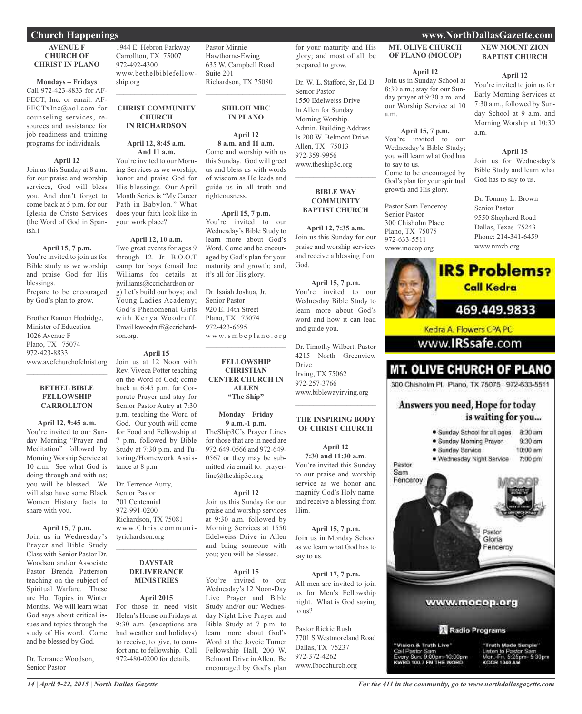### **Church Happenings www.NorthDallasGazette.com**

#### **AVENUE F CHURCH OF CHRIST IN PLANO**

**Mondays – Fridays** Call 972-423-8833 for AF-FECT, Inc. or email: AF-FECTxInc@aol.com for counseling services, resources and assistance for job readiness and training programs for individuals.

#### **April 12**

Join us this Sunday at 8 a.m. for our praise and worship services, God will bless you. And don't forget to come back at 5 p.m. for our Iglesia de Cristo Services (the Word of God in Spanish.)

#### **April 15, 7 p.m.**

You're invited to join us for Bible study as we worship and praise God for His blessings. Prepare to be encouraged

by God's plan to grow.

Brother Ramon Hodridge, Minister of Education 1026 Avenue F Plano, TX 75074 972-423-8833 www.avefchurchofchrist.org

#### **BETHEL BIBLE FELLOWSHIP CARROLLTON**

 $\mathcal{L}$  , and the set of the set of the set of the set of the set of the set of the set of the set of the set of the set of the set of the set of the set of the set of the set of the set of the set of the set of the set

#### **April 12, 9:45 a.m.**

You're invited to our Sunday Morning "Prayer and Meditation" followed by Morning Worship Service at 10 a.m. See what God is doing through and with us; you will be blessed. We will also have some Black Women History facts to share with you.

#### **April 15, 7 p.m.**

Join us in Wednesday's Prayer and Bible Study Class with Senior Pastor Dr. Woodson and/or Associate Pastor Brenda Patterson teaching on the subject of Spiritual Warfare. These are Hot Topics in Winter Months. We will learn what God says about critical issues and topics through the study of His word. Come and be blessed by God.

Dr. Terrance Woodson, Senior Pastor

1944 E. Hebron Parkway Carrollton, TX 75007 972-492-4300 www.bethelbiblefellowship.org

 $\mathcal{L}_\text{max}$  , which is a set of the set of the set of the set of the set of the set of the set of the set of the set of the set of the set of the set of the set of the set of the set of the set of the set of the set of

#### **CHRIST COMMUNITY CHURCH IN RICHARDSON**

#### **April 12, 8:45 a.m. And 11 a.m.**

You're invited to our Morning Services as we worship, honor and praise God for His blessings. Our April Month Series is "My Career Path in Babylon." What does your faith look like in your work place?

#### **April 12, 10 a.m.**

Two great events for ages 9 through 12. Jr. B.O.O.T camp for boys (email Joe Williams for details at jwilliams@ccrichardson.or g) Let's build our boys; and Young Ladies Academy; God's Phenomenal Girls with Kenya Woodruff. Email kwoodruff@ccrichardson.org.

#### **April 15**

Join us at 12 Noon with Rev. Viveca Potter teaching on the Word of God; come back at 6:45 p.m. for Corporate Prayer and stay for Senior Pastor Autry at 7:30 p.m. teaching the Word of God. Our youth will come for Food and Fellowship at 7 p.m. followed by Bible Study at 7:30 p.m. and Tutoring/Homework Assistance at 8 p.m.

Dr. Terrence Autry, Senior Pastor 701 Centennial 972-991-0200 Richardson, TX 75081 www.Christ communityrichardson.org  $\mathcal{L}_\text{max}$  , which is a set of the set of the set of the set of the set of the set of the set of the set of the set of the set of the set of the set of the set of the set of the set of the set of the set of the set of

#### **DAYSTAR DELIVERANCE MINISTRIES**

#### **April 2015**

For those in need visit Helen's House on Fridays at 9:30 a.m. (exceptions are bad weather and holidays) to receive, to give, to comfort and to fellowship. Call 972-480-0200 for details.

Pastor Minnie Hawthorne-Ewing 635 W. Campbell Road Suite 201 Richardson, TX 75080

#### **SHILOH MBC IN PLANO**

 $\overline{\phantom{a}}$  , and the set of the set of the set of the set of the set of the set of the set of the set of the set of the set of the set of the set of the set of the set of the set of the set of the set of the set of the s

**April 12 8 a.m. and 11 a.m.** Come and worship with us this Sunday. God will greet us and bless us with words of wisdom as He leads and guide us in all truth and

#### **April 15, 7 p.m.**

righteousness.

You're invited to our Wednesday's Bible Study to learn more about God's Word. Come and be encouraged by God's plan for your maturity and growth; and, it's all for His glory.

Dr. Isaiah Joshua, Jr. Senior Pastor 920 E. 14th Street Plano, TX 75074 972-423-6695 w w w.s m b c p l a n o . o r g

 $\overline{\phantom{a}}$  , and the set of the set of the set of the set of the set of the set of the set of the set of the set of the set of the set of the set of the set of the set of the set of the set of the set of the set of the s

#### **FELLOWSHIP CHRISTIAN CENTER CHURCH IN ALLEN "The Ship"**

#### **Monday – Friday 9 a.m.-1 p.m.**

TheShip3C's Prayer Lines for those that are in need are 972-649-0566 and 972-649- 0567 or they may be submitted via email to: prayerline@theship3c.org

#### **April 12**

Join us this Sunday for our praise and worship services at 9:30 a.m. followed by Morning Services at 1550 Edelweiss Drive in Allen and bring someone with you; you will be blessed.

#### **April 15**

You're invited to our Wednesday's 12 Noon-Day Live Prayer and Bible Study and/or our Wednesday Night Live Prayer and Bible Study at 7 p.m. to learn more about God's Word at the Joycie Turner Fellowship Hall, 200 W. Belmont Drive in Allen. Be encouraged by God's plan for your maturity and His glory; and most of all, be prepared to grow.

Dr. W. L. Stafford, Sr., Ed. D. Senior Pastor 1550 Edelweiss Drive In Allen for Sunday Morning Worship. Admin. Building Address Is 200 W. Belmont Drive Allen, TX 75013 972-359-9956 www.theship3c.org

#### **BIBLE WAY COMMUNITY BAPTIST CHURCH**

 $\mathcal{L}$  , and the set of the set of the set of the set of the set of the set of the set of the set of the set of the set of the set of the set of the set of the set of the set of the set of the set of the set of the set

**April 12, 7:35 a.m.** Join us this Sunday for our praise and worship services and receive a blessing from God.

**April 15, 7 p.m.** You're invited to our Wednesday Bible Study to learn more about God's word and how it can lead and guide you.

Dr. Timothy Wilbert, Pastor 4215 North Greenview Drive Irving, TX 75062 972-257-3766 www.biblewayirving.org  $\mathcal{L}$  , and the set of the set of the set of the set of the set of the set of the set of the set of the set of the set of the set of the set of the set of the set of the set of the set of the set of the set of the set

#### **THE INSPIRING BODY OF CHRIST CHURCH**

**April 12 7:30 and 11:30 a.m.** You're invited this Sunday to our praise and worship service as we honor and magnify God's Holy name; and receive a blessing from Him.

#### **April 15, 7 p.m.**

Join us in Monday School as we learn what God has to say to us.

#### **April 17, 7 p.m.**

All men are invited to join us for Men's Fellowship night. What is God saying to us?

Pastor Rickie Rush 7701 S Westmoreland Road Dallas, TX 75237 972-372-4262 www.Ibocchurch.org

#### **MT. OLIVE CHURCH OF PLANO (MOCOP)**

#### **April 12**

Join us in Sunday School at 8:30 a.m.; stay for our Sunday prayer at 9:30 a.m. and our Worship Service at 10 a.m.

#### **April 15, 7 p.m.**

You're invited to our Wednesday's Bible Study; you will learn what God has to say to us. Come to be encouraged by God's plan for your spiritual growth and His glory.

Pastor Sam Fenceroy Senior Pastor 300 Chisholm Place Plano, TX 75075 972-633-5511 www.mocop.org

**NEW MOUNT ZION BAPTIST CHURCH**

#### **April 12**

You're invited to join us for Early Morning Services at 7:30 a.m., followed by Sunday School at 9 a.m. and Morning Worship at 10:30 a.m.

#### **April 15**

Join us for Wednesday's Bible Study and learn what God has to say to us.

Dr. Tommy L. Brown Senior Pastor 9550 Shepherd Road Dallas, Texas 75243 Phone: 214-341-6459 www.nmzb.org



www.**IRSsafe**.com

### **MT. OLIVE CHURCH OF PLANO**

300 Chisholm Pl. Plano, TX 75075 972-633-5511

### Answers you need, Hope for today is waiting for you...

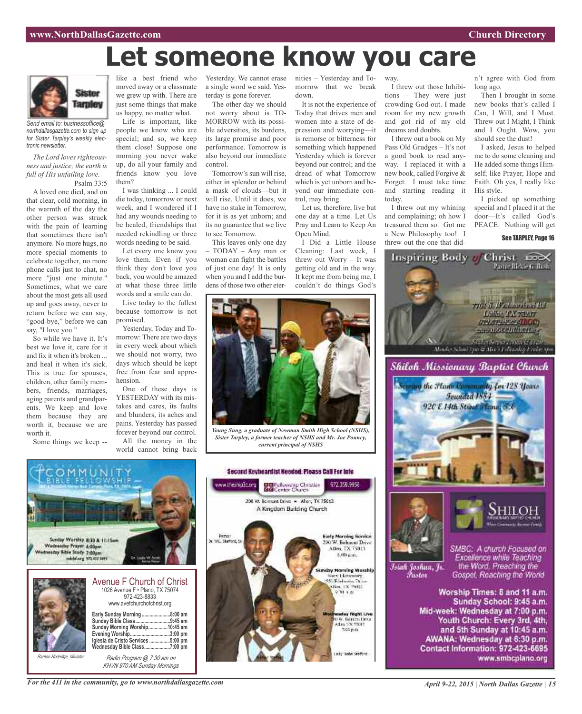# **Let someone know you care**



*Send email to: businessoffice@ northdallasgazette.com to sign up for Sister Tarpley's weekly electronic newsletter.*

*The Lord loves righteousness and justice; the earth is full of His unfailing love.* Psalm 33:5

A loved one died, and on that clear, cold morning, in the warmth of the day the other person was struck with the pain of learning that sometimes there isn't anymore. No more hugs, no more special moments to celebrate together, no more phone calls just to chat, no more "just one minute." Sometimes, what we care about the most gets all used up and goes away, never to return before we can say, "good-bye," before we can say, "I love you."

So while we have it. It's best we love it, care for it and fix it when it's broken ... and heal it when it's sick. This is true for spouses, children, other family members, friends, marriages, aging parents and grandparents. We keep and love them because they are worth it, because we are worth it.

Some things we keep --

*Ramon Hodridge, Minister*

like a best friend who moved away or a classmate we grew up with. There are just some things that make us happy, no matter what.

Life is important, like people we know who are special; and so, we keep them close! Suppose one morning you never wake up, do all your family and friends know you love them?

I was thinking ... I could die today, tomorrow or next week, and I wondered if I had any wounds needing to be healed, friendships that needed rekindling or three words needing to be said.

Let every one know you love them. Even if you think they don't love you back, you would be amazed at what those three little words and a smile can do.

Live today to the fullest because tomorrow is not promised.

Yesterday, Today and Tomorrow: There are two days in every week about which we should not worry, two days which should be kept free from fear and apprehension.

One of these days is YESTERDAY with its mistakes and cares, its faults and blunders, its aches and pains. Yesterday has passed forever beyond our control. All the money in the

world cannot bring back

Yesterday. We cannot erase a single word we said. Yesterday is gone forever.

The other day we should not worry about is TO-MORROW with its possible adversities, its burdens, its large promise and poor performance. Tomorrow is also beyond our immediate control.

Tomorrow's sun will rise, either in splendor or behind a mask of clouds—but it will rise. Until it does, we have no stake in Tomorrow, for it is as yet unborn; and its no guarantee that we live to see Tomorrow.

This leaves only one day – TODAY – Any man or woman can fight the battles of just one day! It is only when you and I add the burdens of those two other eternities – Yesterday and Tomorrow that we break down.

way.

today.

crowding God out. I made room for my new growth and got rid of my old

I threw out a book on My Pass Old Grudges – It's not a good book to read anyway. I replaced it with a new book, called Forgive & Forget. I must take time and starting reading it

I threw out my whining and complaining; oh how I treasured them so. Got me a New Philosophy too! I

dreams and doubts.

It is not the experience of Today that drives men and women into a state of depression and worrying—it is remorse or bitterness for something which happened Yesterday which is forever beyond our control; and the dread of what Tomorrow which is yet unborn and beyond our immediate control, may bring.

Let us, therefore, live but one day at a time. Let Us Pray and Learn to Keep An Open Mind.

I Did a Little House Cleaning: Last week, I threw out Worry – It was getting old and in the way. It kept me from being me, I couldn't do things God's



*Young Sung, a graduate of Newman Smith High School (NSHS), Sister Tarpley, a former teacher of NSHS and Mr. Joe Pouncy, current principal of NSHS*



*Radio Program @ 7:30 am on KHVN 970 AM Sunday Mornings*



*April 9-22, 2015 | North Dallas Gazette | 15*

I threw out those Inhibitions – They were just n't agree with God from long ago. Then I brought in some

new books that's called I Can, I Will, and I Must. Threw out I Might, I Think and I Ought. Wow, you should see the dust!

I asked, Jesus to helped me to do some cleaning and He added some things Himself; like Prayer, Hope and Faith. Oh yes, I really like His style.

I picked up something special and I placed it at the door—It's called God's PEACE. Nothing will get

real S. Westman limit the Luther TX recor **UPLATA-ESSALLOCI** *<u>STERING CONCRETE COMPANY</u>* 

#### See TARPLEY, Page 16



Monder School Tym & Mito's Lellawskip Eridot Sp. Shilch Missionary Baptist Church





Islah Joshua, Jr. **Tustas** 

Excellence while Teaching<br>the Word, Preaching the Gospel, Reaching the World

Worship Times: 8 and 11 a.m. Sunday School: 9:45 a.m. Mid-week: Wednesday at 7:00 p.m. Youth Church: Every 3rd, 4th, and 5th Sunday at 10:45 a.m. AWANA: Wednesday at 6:30 p.m. Contact Information: 972-423-6695 www.smbcplano.org